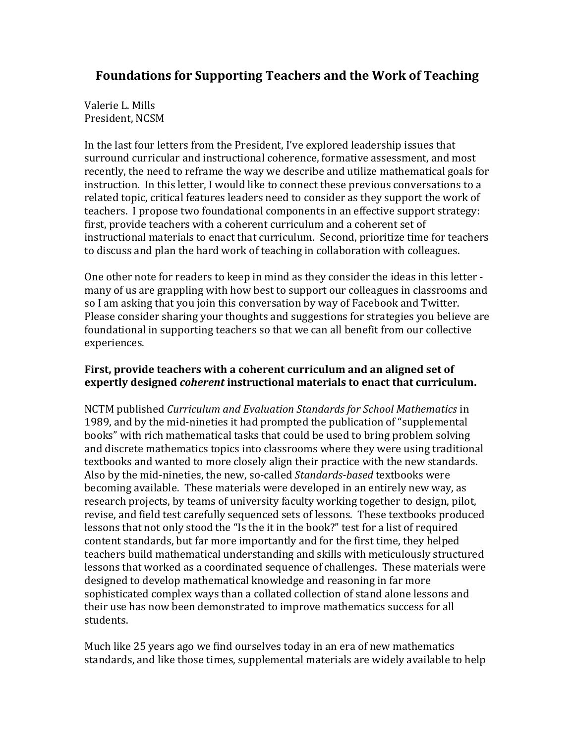## **Foundations for Supporting Teachers and the Work of Teaching**

Valerie L. Mills President, NCSM

In the last four letters from the President, I've explored leadership issues that surround curricular and instructional coherence, formative assessment, and most recently, the need to reframe the way we describe and utilize mathematical goals for instruction. In this letter, I would like to connect these previous conversations to a related topic, critical features leaders need to consider as they support the work of teachers. I propose two foundational components in an effective support strategy: first, provide teachers with a coherent curriculum and a coherent set of instructional materials to enact that curriculum. Second, prioritize time for teachers to discuss and plan the hard work of teaching in collaboration with colleagues.

One other note for readers to keep in mind as they consider the ideas in this letter many of us are grappling with how best to support our colleagues in classrooms and so I am asking that you join this conversation by way of Facebook and Twitter. Please consider sharing your thoughts and suggestions for strategies you believe are foundational in supporting teachers so that we can all benefit from our collective experiences.

## **First, provide teachers with a coherent curriculum and an aligned set of expertly designed** *coherent* **instructional materials to enact that curriculum.**

NCTM published *Curriculum and Evaluation Standards for School Mathematics* in 1989, and by the mid-nineties it had prompted the publication of "supplemental books" with rich mathematical tasks that could be used to bring problem solving and discrete mathematics topics into classrooms where they were using traditional textbooks and wanted to more closely align their practice with the new standards. Also by the mid-nineties, the new, so-called *Standards-based* textbooks were becoming available. These materials were developed in an entirely new way, as research projects, by teams of university faculty working together to design, pilot, revise, and field test carefully sequenced sets of lessons. These textbooks produced lessons that not only stood the "Is the it in the book?" test for a list of required content standards, but far more importantly and for the first time, they helped teachers build mathematical understanding and skills with meticulously structured lessons that worked as a coordinated sequence of challenges. These materials were designed to develop mathematical knowledge and reasoning in far more sophisticated complex ways than a collated collection of stand alone lessons and their use has now been demonstrated to improve mathematics success for all students.

Much like 25 years ago we find ourselves today in an era of new mathematics standards, and like those times, supplemental materials are widely available to help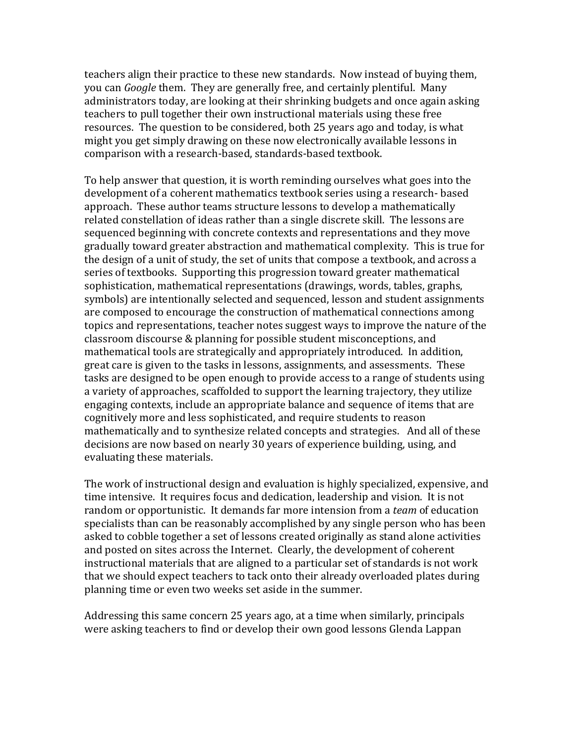teachers align their practice to these new standards. Now instead of buying them, you can *Google* them. They are generally free, and certainly plentiful. Many administrators today, are looking at their shrinking budgets and once again asking teachers to pull together their own instructional materials using these free resources. The question to be considered, both 25 years ago and today, is what might you get simply drawing on these now electronically available lessons in comparison with a research-based, standards-based textbook.

To help answer that question, it is worth reminding ourselves what goes into the development of a coherent mathematics textbook series using a research- based approach. These author teams structure lessons to develop a mathematically related constellation of ideas rather than a single discrete skill. The lessons are sequenced beginning with concrete contexts and representations and they move gradually toward greater abstraction and mathematical complexity. This is true for the design of a unit of study, the set of units that compose a textbook, and across a series of textbooks. Supporting this progression toward greater mathematical sophistication, mathematical representations (drawings, words, tables, graphs, symbols) are intentionally selected and sequenced, lesson and student assignments are composed to encourage the construction of mathematical connections among topics and representations, teacher notes suggest ways to improve the nature of the classroom discourse & planning for possible student misconceptions, and mathematical tools are strategically and appropriately introduced. In addition, great care is given to the tasks in lessons, assignments, and assessments. These tasks are designed to be open enough to provide access to a range of students using a variety of approaches, scaffolded to support the learning trajectory, they utilize engaging contexts, include an appropriate balance and sequence of items that are cognitively more and less sophisticated, and require students to reason mathematically and to synthesize related concepts and strategies. And all of these decisions are now based on nearly 30 years of experience building, using, and evaluating these materials.

The work of instructional design and evaluation is highly specialized, expensive, and time intensive. It requires focus and dedication, leadership and vision. It is not random or opportunistic. It demands far more intension from a *team* of education specialists than can be reasonably accomplished by any single person who has been asked to cobble together a set of lessons created originally as stand alone activities and posted on sites across the Internet. Clearly, the development of coherent instructional materials that are aligned to a particular set of standards is not work that we should expect teachers to tack onto their already overloaded plates during planning time or even two weeks set aside in the summer.

Addressing this same concern 25 years ago, at a time when similarly, principals were asking teachers to find or develop their own good lessons Glenda Lappan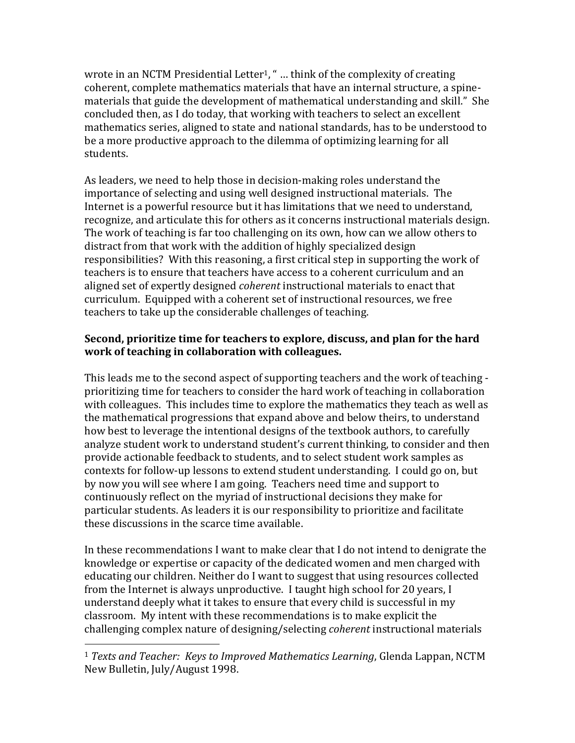wrote in an NCTM Presidential Letter<sup>1</sup>, " $\ldots$  think of the complexity of creating coherent, complete mathematics materials that have an internal structure, a spinematerials that guide the development of mathematical understanding and skill." She concluded then, as I do today, that working with teachers to select an excellent mathematics series, aligned to state and national standards, has to be understood to be a more productive approach to the dilemma of optimizing learning for all students.

As leaders, we need to help those in decision-making roles understand the importance of selecting and using well designed instructional materials. The Internet is a powerful resource but it has limitations that we need to understand, recognize, and articulate this for others as it concerns instructional materials design. The work of teaching is far too challenging on its own, how can we allow others to distract from that work with the addition of highly specialized design responsibilities? With this reasoning, a first critical step in supporting the work of teachers is to ensure that teachers have access to a coherent curriculum and an aligned set of expertly designed *coherent* instructional materials to enact that curriculum. Equipped with a coherent set of instructional resources, we free teachers to take up the considerable challenges of teaching.

## **Second, prioritize time for teachers to explore, discuss, and plan for the hard work of teaching in collaboration with colleagues.**

This leads me to the second aspect of supporting teachers and the work of teaching prioritizing time for teachers to consider the hard work of teaching in collaboration with colleagues. This includes time to explore the mathematics they teach as well as the mathematical progressions that expand above and below theirs, to understand how best to leverage the intentional designs of the textbook authors, to carefully analyze student work to understand student's current thinking, to consider and then provide actionable feedback to students, and to select student work samples as contexts for follow-up lessons to extend student understanding. I could go on, but by now you will see where I am going. Teachers need time and support to continuously reflect on the myriad of instructional decisions they make for particular students. As leaders it is our responsibility to prioritize and facilitate these discussions in the scarce time available.

In these recommendations I want to make clear that I do not intend to denigrate the knowledge or expertise or capacity of the dedicated women and men charged with educating our children. Neither do I want to suggest that using resources collected from the Internet is always unproductive. I taught high school for 20 years, I understand deeply what it takes to ensure that every child is successful in my classroom. My intent with these recommendations is to make explicit the challenging complex nature of designing/selecting *coherent* instructional materials

 $\overline{a}$ 

<sup>1</sup> *Texts and Teacher: Keys to Improved Mathematics Learning*, Glenda Lappan, NCTM New Bulletin, July/August 1998.